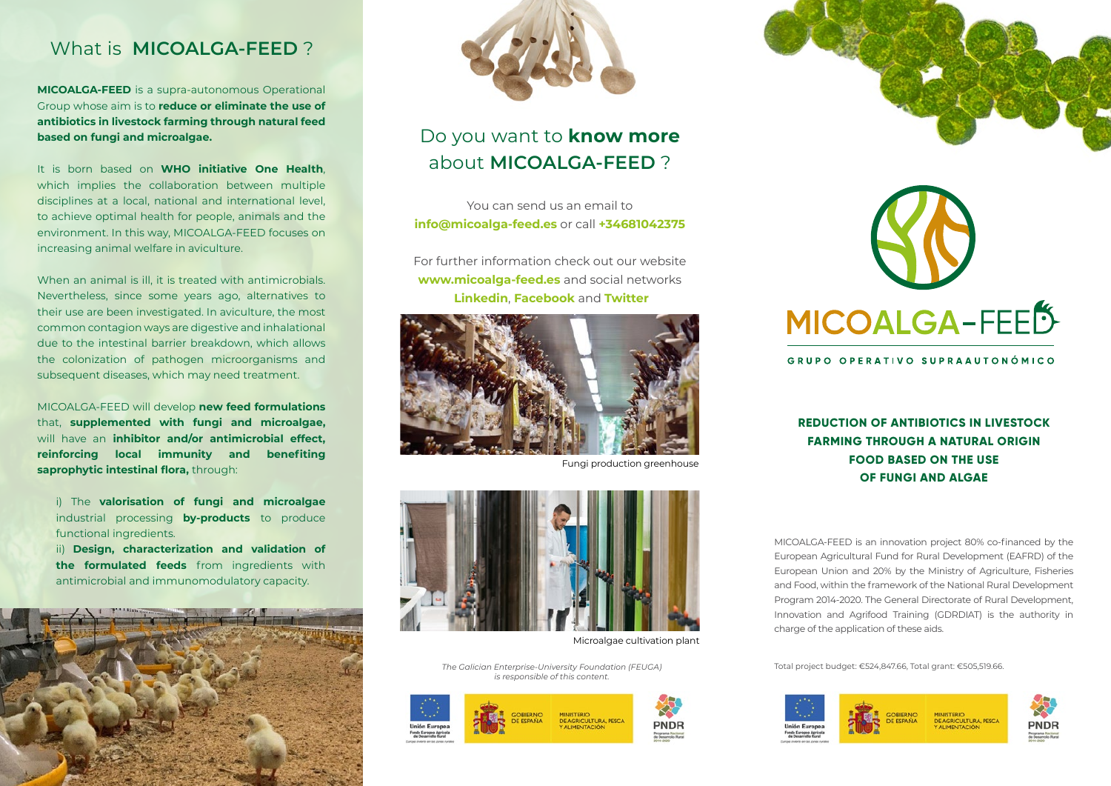#### What is **MICOALGA-FFFD**?

**MICOALGA-FEED** is a supra-autonomous Operational Group whose aim is to **reduce or eliminate the use of antibiotics in livestock farming through natural feed based on fungi and microalgae.**

It is born based on **WHO initiative One Health**, which implies the collaboration between multiple disciplines at a local, national and international level, to achieve optimal health for people, animals and the environment. In this way, MICOALGA-FEED focuses on increasing animal welfare in aviculture.

When an animal is ill, it is treated with antimicrobials. Nevertheless, since some years ago, alternatives to their use are been investigated. In aviculture, the most common contagion ways are digestive and inhalational due to the intestinal barrier breakdown, which allows the colonization of pathogen microorganisms and subsequent diseases, which may need treatment.

MICOALGA-FEED will develop **new feed formulations**  that, **supplemented with fungi and microalgae,**  will have an **inhibitor and/or antimicrobial effect, reinforcing local immunity and benefiting saprophytic intestinal flora,** through:

i) The **valorisation of fungi and microalgae**  industrial processing **by-products** to produce functional ingredients.

ii) **Design, characterization and validation of the formulated feeds** from ingredients with antimicrobial and immunomodulatory capacity.





# Do you want to **know more** about **MICOALGA-FEED** ?

You can send us an email to **info@micoalga-feed.es** or call **+34681042375**

For further information check out our website **www.micoalga-feed.es** and social networks **Linkedin**, **Facebook** and **Twitter**



Fungi production greenhouse



Microalgae cultivation plant

*The Galician Enterprise-University Foundation (FEUGA) is responsible of this content.*





GRUPO OPERATIVO SUPRAAUTONÓMICO

**REDUCTION OF ANTIBIOTICS IN LIVESTOCK FARMING THROUGH A NATURAL ORIGIN FOOD BASED ON THE USE OF FUNGI AND ALGAE**

MICOALGA-FEED is an innovation project 80% co-financed by the European Agricultural Fund for Rural Development (EAFRD) of the European Union and 20% by the Ministry of Agriculture, Fisheries and Food, within the framework of the National Rural Development Program 2014-2020. The General Directorate of Rural Development, Innovation and Agrifood Training (GDRDIAT) is the authority in charge of the application of these aids.

Total project budget: €524,847.66, Total grant: €505,519.66.